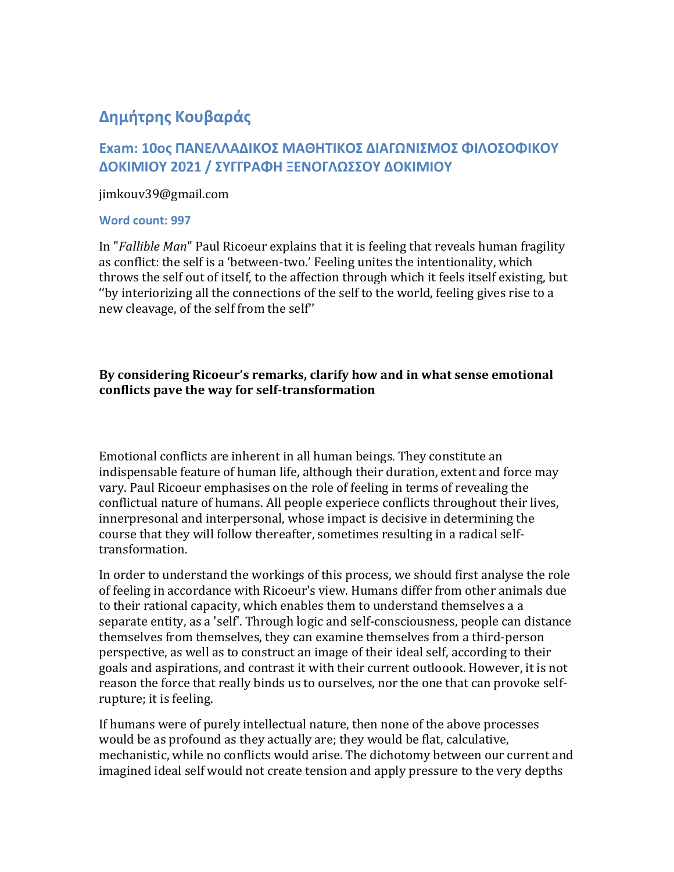## **Δημήτρης Κουβαράς**

## **Exam: 10ος ΠΑΝΕΛΛΑΔΙΚΟΣ ΜΑΘΗΤΙΚΟΣ ΔΙΑΓΩΝΙΣΜΟΣ ΦΙΛΟΣΟΦΙΚΟΥ ΔΟΚΙΜΙΟΥ 2021 / ΣΥΓΓΡΑΦΗ ΞΕΝΟΓΛΩΣΣΟΥ ΔΟΚΙΜΙΟΥ**

jimkouv39@gmail.com

## **Word count: 997**

In "*Fallible Man*" Paul Ricoeur explains that it is feeling that reveals human fragility as conflict: the self is a 'between-two.' Feeling unites the intentionality, which throws the self out of itself, to the affection through which it feels itself existing, but ''by interiorizing all the connections of the self to the world, feeling gives rise to a new cleavage, of the self from the self''

## **By considering Ricoeur's remarks, clarify how and in what sense emotional conflicts pave the way for self-transformation**

Emotional conflicts are inherent in all human beings. They constitute an indispensable feature of human life, although their duration, extent and force may vary. Paul Ricoeur emphasises on the role of feeling in terms of revealing the conflictual nature of humans. All people experiece conflicts throughout their lives, innerpresonal and interpersonal, whose impact is decisive in determining the course that they will follow thereafter, sometimes resulting in a radical selftransformation.

In order to understand the workings of this process, we should first analyse the role of feeling in accordance with Ricoeur's view. Humans differ from other animals due to their rational capacity, which enables them to understand themselves a a separate entity, as a 'self'. Through logic and self-consciousness, people can distance themselves from themselves, they can examine themselves from a third-person perspective, as well as to construct an image of their ideal self, according to their goals and aspirations, and contrast it with their current outloook. However, it is not reason the force that really binds us to ourselves, nor the one that can provoke selfrupture; it is feeling.

If humans were of purely intellectual nature, then none of the above processes would be as profound as they actually are; they would be flat, calculative, mechanistic, while no conflicts would arise. The dichotomy between our current and imagined ideal self would not create tension and apply pressure to the very depths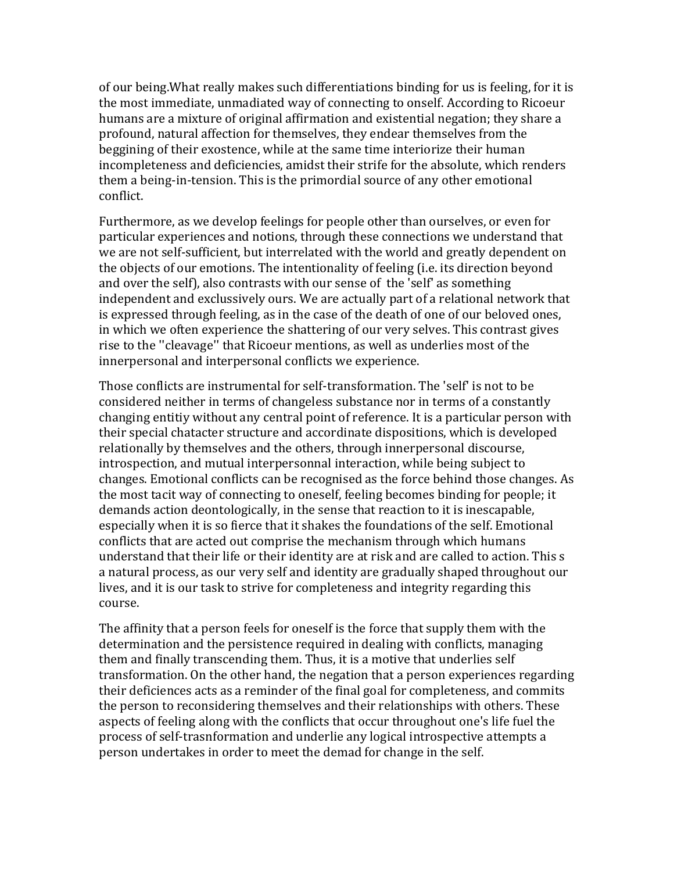of our being.What really makes such differentiations binding for us is feeling, for it is the most immediate, unmadiated way of connecting to onself. According to Ricoeur humans are a mixture of original affirmation and existential negation; they share a profound, natural affection for themselves, they endear themselves from the beggining of their exostence, while at the same time interiorize their human incompleteness and deficiencies, amidst their strife for the absolute, which renders them a being-in-tension. This is the primordial source of any other emotional conflict.

Furthermore, as we develop feelings for people other than ourselves, or even for particular experiences and notions, through these connections we understand that we are not self-sufficient, but interrelated with the world and greatly dependent on the objects of our emotions. The intentionality of feeling (i.e. its direction beyond and over the self), also contrasts with our sense of the 'self' as something independent and exclussively ours. We are actually part of a relational network that is expressed through feeling, as in the case of the death of one of our beloved ones, in which we often experience the shattering of our very selves. This contrast gives rise to the ''cleavage'' that Ricoeur mentions, as well as underlies most of the innerpersonal and interpersonal conflicts we experience.

Those conflicts are instrumental for self-transformation. The 'self' is not to be considered neither in terms of changeless substance nor in terms of a constantly changing entitiy without any central point of reference. It is a particular person with their special chatacter structure and accordinate dispositions, which is developed relationally by themselves and the others, through innerpersonal discourse, introspection, and mutual interpersonnal interaction, while being subject to changes. Emotional conflicts can be recognised as the force behind those changes. As the most tacit way of connecting to oneself, feeling becomes binding for people; it demands action deontologically, in the sense that reaction to it is inescapable, especially when it is so fierce that it shakes the foundations of the self. Emotional conflicts that are acted out comprise the mechanism through which humans understand that their life or their identity are at risk and are called to action. This s a natural process, as our very self and identity are gradually shaped throughout our lives, and it is our task to strive for completeness and integrity regarding this course.

The affinity that a person feels for oneself is the force that supply them with the determination and the persistence required in dealing with conflicts, managing them and finally transcending them. Thus, it is a motive that underlies self transformation. On the other hand, the negation that a person experiences regarding their deficiences acts as a reminder of the final goal for completeness, and commits the person to reconsidering themselves and their relationships with others. These aspects of feeling along with the conflicts that occur throughout one's life fuel the process of self-trasnformation and underlie any logical introspective attempts a person undertakes in order to meet the demad for change in the self.